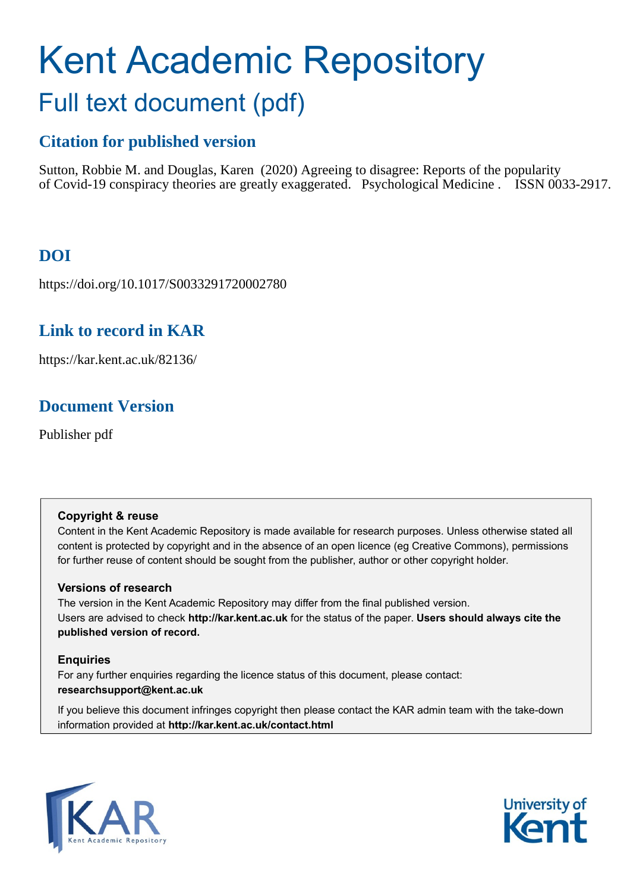# Kent Academic Repository Full text document (pdf)

### **Citation for published version**

Sutton, Robbie M. and Douglas, Karen (2020) Agreeing to disagree: Reports of the popularity of Covid-19 conspiracy theories are greatly exaggerated. Psychological Medicine . ISSN 0033-2917.

# **DOI**

https://doi.org/10.1017/S0033291720002780

### **Link to record in KAR**

https://kar.kent.ac.uk/82136/

## **Document Version**

Publisher pdf

### **Copyright & reuse**

Content in the Kent Academic Repository is made available for research purposes. Unless otherwise stated all content is protected by copyright and in the absence of an open licence (eg Creative Commons), permissions for further reuse of content should be sought from the publisher, author or other copyright holder.

### **Versions of research**

The version in the Kent Academic Repository may differ from the final published version. Users are advised to check **http://kar.kent.ac.uk** for the status of the paper. **Users should always cite the published version of record.**

### **Enquiries**

For any further enquiries regarding the licence status of this document, please contact: **researchsupport@kent.ac.uk**

If you believe this document infringes copyright then please contact the KAR admin team with the take-down information provided at **http://kar.kent.ac.uk/contact.html**



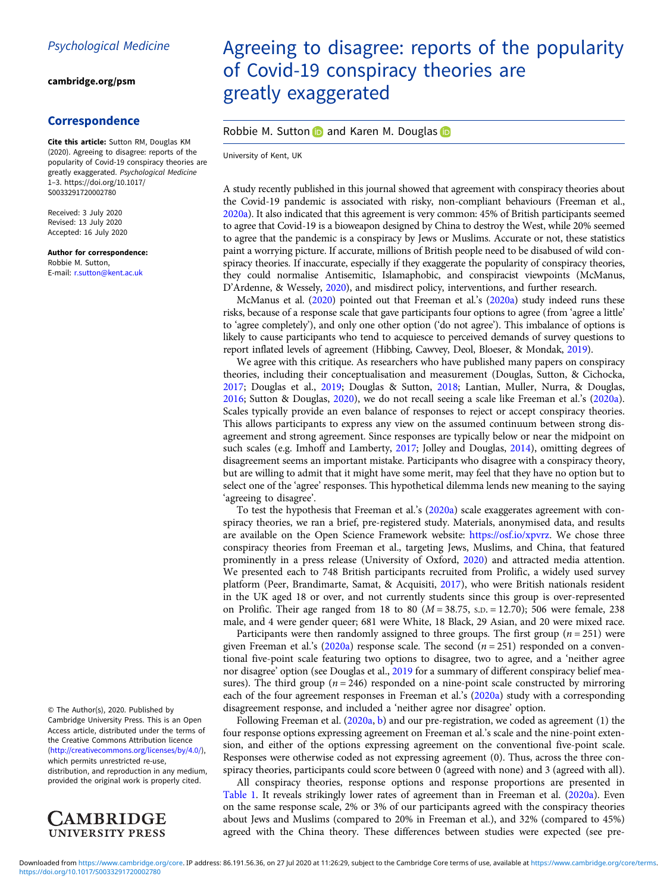#### [cambridge.org/psm](https://www.cambridge.org/psm)

#### Correspondence

Cite this article: Sutton RM, Douglas KM (2020). Agreeing to disagree: reports of the popularity of Covid-19 conspiracy theories are greatly exaggerated. Psychological Medicine 1–3. [https://doi.org/10.1017/](https://doi.org/10.1017/S0033291720002780) [S0033291720002780](https://doi.org/10.1017/S0033291720002780)

Received: 3 July 2020 Revised: 13 July 2020 Accepted: 16 July 2020

Author for correspondence: Robbie M. Sutton,

E-mail: [r.sutton@kent.ac.uk](mailto:r.sutton@kent.ac.uk)

© The Author(s), 2020. Published by Cambridge University Press. This is an Open Access article, distributed under the terms of the Creative Commons Attribution licence ([http://creativecommons.org/licenses/by/4.0/\)](http://creativecommons.org/licenses/by/4.0/), which permits unrestricted re-use,

distribution, and reproduction in any medium, provided the original work is properly cited.



# Agreeing to disagree: reports of the popularity of Covid-19 conspiracy theories are greatly exaggerated

#### Robbie M. Sutton and Karen M. Douglas in

University of Kent, UK

A study recently published in this journal showed that agreement with conspiracy theories about the Covid-19 pandemic is associated with risky, non-compliant behaviours (Freeman et al., 2020a). It also indicated that this agreement is very common: 45% of British participants seemed to agree that Covid-19 is a bioweapon designed by China to destroy the West, while 20% seemed to agree that the pandemic is a conspiracy by Jews or Muslims. Accurate or not, these statistics paint a worrying picture. If accurate, millions of British people need to be disabused of wild conspiracy theories. If inaccurate, especially if they exaggerate the popularity of conspiracy theories, they could normalise Antisemitic, Islamaphobic, and conspiracist viewpoints (McManus, D'Ardenne, & Wessely, 2020), and misdirect policy, interventions, and further research.

McManus et al. (2020) pointed out that Freeman et al.'s (2020a) study indeed runs these risks, because of a response scale that gave participants four options to agree (from 'agree a little' to 'agree completely'), and only one other option ('do not agree'). This imbalance of options is likely to cause participants who tend to acquiesce to perceived demands of survey questions to report inflated levels of agreement (Hibbing, Cawvey, Deol, Bloeser, & Mondak, 2019).

We agree with this critique. As researchers who have published many papers on conspiracy theories, including their conceptualisation and measurement (Douglas, Sutton, & Cichocka, 2017; Douglas et al., 2019; Douglas & Sutton, 2018; Lantian, Muller, Nurra, & Douglas, 2016; Sutton & Douglas, 2020), we do not recall seeing a scale like Freeman et al.'s (2020a). Scales typically provide an even balance of responses to reject or accept conspiracy theories. This allows participants to express any view on the assumed continuum between strong disagreement and strong agreement. Since responses are typically below or near the midpoint on such scales (e.g. Imhoff and Lamberty, 2017; Jolley and Douglas, 2014), omitting degrees of disagreement seems an important mistake. Participants who disagree with a conspiracy theory, but are willing to admit that it might have some merit, may feel that they have no option but to select one of the 'agree' responses. This hypothetical dilemma lends new meaning to the saying 'agreeing to disagree'.

To test the hypothesis that Freeman et al.'s (2020a) scale exaggerates agreement with conspiracy theories, we ran a brief, pre-registered study. Materials, anonymised data, and results are available on the Open Science Framework website: [https://osf.io/xpvrz.](https://osf.io/xpvrz) We chose three conspiracy theories from Freeman et al., targeting Jews, Muslims, and China, that featured prominently in a press release (University of Oxford, 2020) and attracted media attention. We presented each to 748 British participants recruited from Prolific, a widely used survey platform (Peer, Brandimarte, Samat, & Acquisiti, 2017), who were British nationals resident in the UK aged 18 or over, and not currently students since this group is over-represented on Prolific. Their age ranged from 18 to 80 ( $M = 38.75$ , s.p. = 12.70); 506 were female, 238 male, and 4 were gender queer; 681 were White, 18 Black, 29 Asian, and 20 were mixed race.

Participants were then randomly assigned to three groups. The first group ( $n = 251$ ) were given Freeman et al.'s (2020a) response scale. The second  $(n = 251)$  responded on a conventional five-point scale featuring two options to disagree, two to agree, and a 'neither agree nor disagree' option (see Douglas et al., 2019 for a summary of different conspiracy belief measures). The third group ( $n = 246$ ) responded on a nine-point scale constructed by mirroring each of the four agreement responses in Freeman et al.'s (2020a) study with a corresponding disagreement response, and included a 'neither agree nor disagree' option.

Following Freeman et al. (2020a, b) and our pre-registration, we coded as agreement (1) the four response options expressing agreement on Freeman et al.'s scale and the nine-point extension, and either of the options expressing agreement on the conventional five-point scale. Responses were otherwise coded as not expressing agreement (0). Thus, across the three conspiracy theories, participants could score between 0 (agreed with none) and 3 (agreed with all).

All conspiracy theories, response options and response proportions are presented in Table 1. It reveals strikingly lower rates of agreement than in Freeman et al. (2020a). Even on the same response scale, 2% or 3% of our participants agreed with the conspiracy theories about Jews and Muslims (compared to 20% in Freeman et al.), and 32% (compared to 45%) agreed with the China theory. These differences between studies were expected (see pre-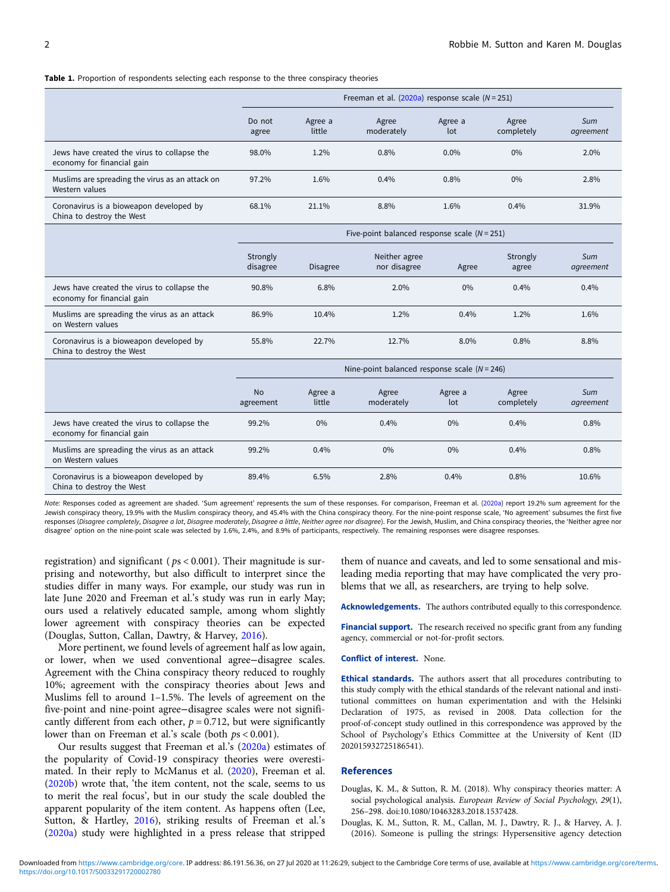#### Table 1. Proportion of respondents selecting each response to the three conspiracy theories

|                                                                           | Freeman et al. $(2020a)$ response scale $(N = 251)$ |                   |                     |                |                     |                  |
|---------------------------------------------------------------------------|-----------------------------------------------------|-------------------|---------------------|----------------|---------------------|------------------|
|                                                                           | Do not<br>agree                                     | Agree a<br>little | Agree<br>moderately | Agree a<br>lot | Agree<br>completely | Sum<br>agreement |
| Jews have created the virus to collapse the<br>economy for financial gain | 98.0%                                               | 1.2%              | $0.8\%$             | $0.0\%$        | $0\%$               | 2.0%             |
| Muslims are spreading the virus as an attack on<br>Western values         | 97.2%                                               | 1.6%              | $0.4\%$             | 0.8%           | $0\%$               | 2.8%             |
| Coronavirus is a bioweapon developed by<br>China to destroy the West      | 68.1%                                               | 21.1%             | 8.8%                | 1.6%           | 0.4%                | 31.9%            |

|                                                                           | $\frac{1}{1}$ ive-point balanced response scale $\frac{1}{1}$ $\frac{1}{1}$ |                 |                               |       |                   |                  |  |
|---------------------------------------------------------------------------|-----------------------------------------------------------------------------|-----------------|-------------------------------|-------|-------------------|------------------|--|
|                                                                           | Strongly<br>disagree                                                        | <b>Disagree</b> | Neither agree<br>nor disagree | Agree | Strongly<br>agree | Sum<br>agreement |  |
| Jews have created the virus to collapse the<br>economy for financial gain | 90.8%                                                                       | 6.8%            | 2.0%                          | 0%    | 0.4%              | 0.4%             |  |
| Muslims are spreading the virus as an attack<br>on Western values         | 86.9%                                                                       | 10.4%           | 1.2%                          | 0.4%  | 1.2%              | 1.6%             |  |
| Coronavirus is a bioweapon developed by<br>China to destroy the West      | 55.8%                                                                       | 22.7%           | 12.7%                         | 8.0%  | 0.8%              | 8.8%             |  |

 $Fiv$ e-point balanced response scale  $(N - 251)$ 

|                                                                           | Nine-point balanced response scale $(N = 246)$ |                   |                     |                |                     |                  |  |
|---------------------------------------------------------------------------|------------------------------------------------|-------------------|---------------------|----------------|---------------------|------------------|--|
|                                                                           | <b>No</b><br>agreement                         | Agree a<br>little | Agree<br>moderately | Agree a<br>lot | Agree<br>completely | Sum<br>agreement |  |
| Jews have created the virus to collapse the<br>economy for financial gain | 99.2%                                          | $0\%$             | $0.4\%$             | $0\%$          | 0.4%                | 0.8%             |  |
| Muslims are spreading the virus as an attack<br>on Western values         | 99.2%                                          | 0.4%              | $0\%$               | $0\%$          | 0.4%                | 0.8%             |  |
| Coronavirus is a bioweapon developed by<br>China to destroy the West      | 89.4%                                          | 6.5%              | 2.8%                | 0.4%           | 0.8%                | 10.6%            |  |

Note: Responses coded as agreement are shaded. 'Sum agreement' represents the sum of these responses. For comparison, Freeman et al. (2020a) report 19.2% sum agreement for the Jewish conspiracy theory, 19.9% with the Muslim conspiracy theory, and 45.4% with the China conspiracy theory. For the nine-point response scale, 'No agreement' subsumes the first five responses (Disagree completely, Disagree a lot, Disagree moderately, Disagree a little, Neither agree nor disagree). For the Jewish, Muslim, and China conspiracy theories, the 'Neither agree nor disagree' option on the nine-point scale was selected by 1.6%, 2.4%, and 8.9% of participants, respectively. The remaining responses were disagree responses.

registration) and significant ( $ps < 0.001$ ). Their magnitude is surprising and noteworthy, but also difficult to interpret since the studies differ in many ways. For example, our study was run in late June 2020 and Freeman et al.'s study was run in early May; ours used a relatively educated sample, among whom slightly lower agreement with conspiracy theories can be expected (Douglas, Sutton, Callan, Dawtry, & Harvey, 2016).

More pertinent, we found levels of agreement half as low again, or lower, when we used conventional agree−disagree scales. Agreement with the China conspiracy theory reduced to roughly 10%; agreement with the conspiracy theories about Jews and Muslims fell to around 1–1.5%. The levels of agreement on the five-point and nine-point agree−disagree scales were not significantly different from each other,  $p = 0.712$ , but were significantly lower than on Freeman et al.'s scale (both  $ps < 0.001$ ).

Our results suggest that Freeman et al.'s (2020a) estimates of the popularity of Covid-19 conspiracy theories were overestimated. In their reply to McManus et al. (2020), Freeman et al. (2020b) wrote that, 'the item content, not the scale, seems to us to merit the real focus', but in our study the scale doubled the apparent popularity of the item content. As happens often (Lee, Sutton, & Hartley, 2016), striking results of Freeman et al.'s (2020a) study were highlighted in a press release that stripped

them of nuance and caveats, and led to some sensational and misleading media reporting that may have complicated the very problems that we all, as researchers, are trying to help solve.

Acknowledgements. The authors contributed equally to this correspondence.

Financial support. The research received no specific grant from any funding agency, commercial or not-for-profit sectors.

#### Conflict of interest. None.

Ethical standards. The authors assert that all procedures contributing to this study comply with the ethical standards of the relevant national and institutional committees on human experimentation and with the Helsinki Declaration of 1975, as revised in 2008. Data collection for the proof-of-concept study outlined in this correspondence was approved by the School of Psychology's Ethics Committee at the University of Kent (ID 202015932725186541).

#### References

- Douglas, K. M., & Sutton, R. M. (2018). Why conspiracy theories matter: A social psychological analysis. European Review of Social Psychology, 29(1), 256–298. doi:10.1080/10463283.2018.1537428.
- Douglas, K. M., Sutton, R. M., Callan, M. J., Dawtry, R. J., & Harvey, A. J. (2016). Someone is pulling the strings: Hypersensitive agency detection